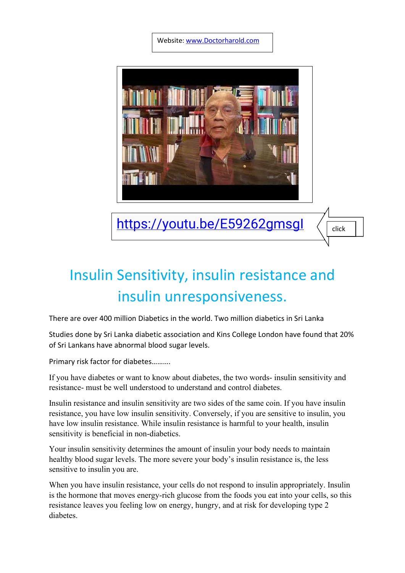Website[: www.Doctorharold.com](http://www.doctorharold.com/)



https://youtu.be/E59262gmsgl

## Insulin Sensitivity, insulin resistance and insulin unresponsiveness.

There are over 400 million Diabetics in the world. Two million diabetics in Sri Lanka

Studies done by Sri Lanka diabetic association and Kins College London have found that 20% of Sri Lankans have abnormal blood sugar levels.

Primary risk factor for diabetes……….

If you have diabetes or want to know about diabetes, the two words- insulin sensitivity and resistance- must be well understood to understand and control diabetes.

Insulin resistance and insulin sensitivity are two sides of the same coin. If you have insulin resistance, you have low insulin sensitivity. Conversely, if you are sensitive to insulin, you have low insulin resistance. While insulin resistance is harmful to your health, insulin sensitivity is beneficial in non-diabetics.

Your insulin sensitivity determines the amount of insulin your body needs to maintain healthy blood sugar levels. The more severe your body's insulin resistance is, the less sensitive to insulin you are.

When you have insulin resistance, your cells do not respond to insulin appropriately. Insulin is the hormone that moves energy-rich glucose from the foods you eat into your cells, so this resistance leaves you feeling low on energy, hungry, and at risk for developing type 2 diabetes.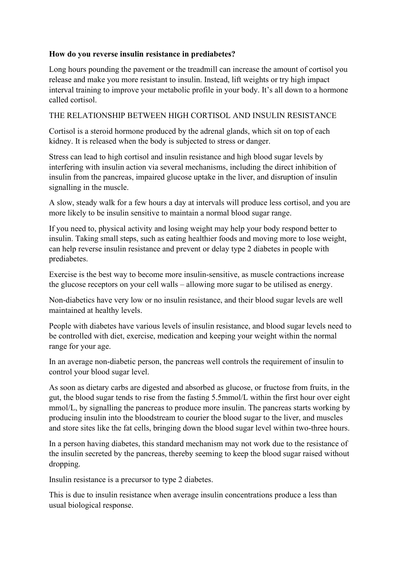## **How do you reverse insulin resistance in prediabetes?**

Long hours pounding the pavement or the treadmill can increase the amount of cortisol you release and make you more resistant to insulin. Instead, lift weights or try high impact interval training to improve your metabolic profile in your body. It's all down to a hormone called cortisol.

## THE RELATIONSHIP BETWEEN HIGH CORTISOL AND INSULIN RESISTANCE

Cortisol is a steroid hormone produced by the adrenal glands, which sit on top of each kidney. It is released when the body is subjected to stress or danger.

Stress can lead to high cortisol and insulin resistance and high blood sugar levels by interfering with insulin action via several mechanisms, including the direct inhibition of insulin from the pancreas, impaired glucose uptake in the liver, and disruption of insulin signalling in the muscle.

A slow, steady walk for a few hours a day at intervals will produce less cortisol, and you are more likely to be insulin sensitive to maintain a normal blood sugar range.

If you need to, physical activity and losing weight may help your body respond better to insulin. Taking small steps, such as eating healthier foods and moving more to lose weight, can help reverse insulin resistance and prevent or delay type 2 diabetes in people with prediabetes.

Exercise is the best way to become more insulin-sensitive, as muscle contractions increase the glucose receptors on your cell walls – allowing more sugar to be utilised as energy.

Non-diabetics have very low or no insulin resistance, and their blood sugar levels are well maintained at healthy levels.

People with diabetes have various levels of insulin resistance, and blood sugar levels need to be controlled with diet, exercise, medication and keeping your weight within the normal range for your age.

In an average non-diabetic person, the pancreas well controls the requirement of insulin to control your blood sugar level.

As soon as dietary carbs are digested and absorbed as glucose, or fructose from fruits, in the gut, the blood sugar tends to rise from the fasting 5.5mmol/L within the first hour over eight mmol/L, by signalling the pancreas to produce more insulin. The pancreas starts working by producing insulin into the bloodstream to courier the blood sugar to the liver, and muscles and store sites like the fat cells, bringing down the blood sugar level within two-three hours.

In a person having diabetes, this standard mechanism may not work due to the resistance of the insulin secreted by the pancreas, thereby seeming to keep the blood sugar raised without dropping.

Insulin resistance is a precursor to type 2 diabetes.

This is due to insulin resistance when average insulin concentrations produce a less than usual biological response.